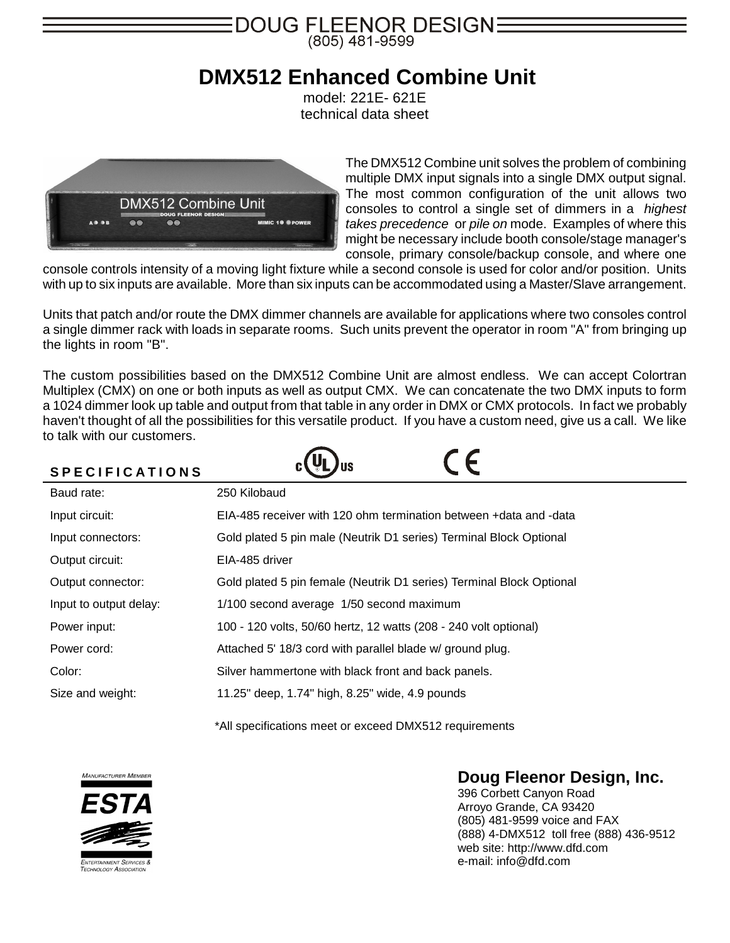

## **DMX512 Enhanced Combine Unit**

model: 221E- 621E technical data sheet



The DMX512 Combine unit solves the problem of combining multiple DMX input signals into a single DMX output signal. The most common configuration of the unit allows two consoles to control a single set of dimmers in a *highest takes precedence* or *pile on* mode. Examples of where this might be necessary include booth console/stage manager's console, primary console/backup console, and where one

console controls intensity of a moving light fixture while a second console is used for color and/or position. Units with up to six inputs are available. More than six inputs can be accommodated using a Master/Slave arrangement.

Units that patch and/or route the DMX dimmer channels are available for applications where two consoles control a single dimmer rack with loads in separate rooms. Such units prevent the operator in room "A" from bringing up the lights in room "B".

The custom possibilities based on the DMX512 Combine Unit are almost endless. We can accept Colortran Multiplex (CMX) on one or both inputs as well as output CMX. We can concatenate the two DMX inputs to form a 1024 dimmer look up table and output from that table in any order in DMX or CMX protocols. In fact we probably haven't thought of all the possibilities for this versatile product. If you have a custom need, give us a call. We like to talk with our customers.

| <b>SPECIFICATIONS</b>  |                                                                      |
|------------------------|----------------------------------------------------------------------|
| Baud rate:             | 250 Kilobaud                                                         |
| Input circuit:         | EIA-485 receiver with 120 ohm termination between +data and -data    |
| Input connectors:      | Gold plated 5 pin male (Neutrik D1 series) Terminal Block Optional   |
| Output circuit:        | EIA-485 driver                                                       |
| Output connector:      | Gold plated 5 pin female (Neutrik D1 series) Terminal Block Optional |
| Input to output delay: | 1/100 second average 1/50 second maximum                             |
| Power input:           | 100 - 120 volts, 50/60 hertz, 12 watts (208 - 240 volt optional)     |
| Power cord:            | Attached 5' 18/3 cord with parallel blade w/ ground plug.            |
| Color:                 | Silver hammertone with black front and back panels.                  |
| Size and weight:       | 11.25" deep, 1.74" high, 8.25" wide, 4.9 pounds                      |

\*All specifications meet or exceed DMX512 requirements



## **Doug Fleenor Design, Inc.**

396 Corbett Canyon Road Arroyo Grande, CA 93420 (805) 481-9599 voice and FAX (888) 4-DMX512 toll free (888) 436-9512 web site: http://www.dfd.com e-mail: info@dfd.com